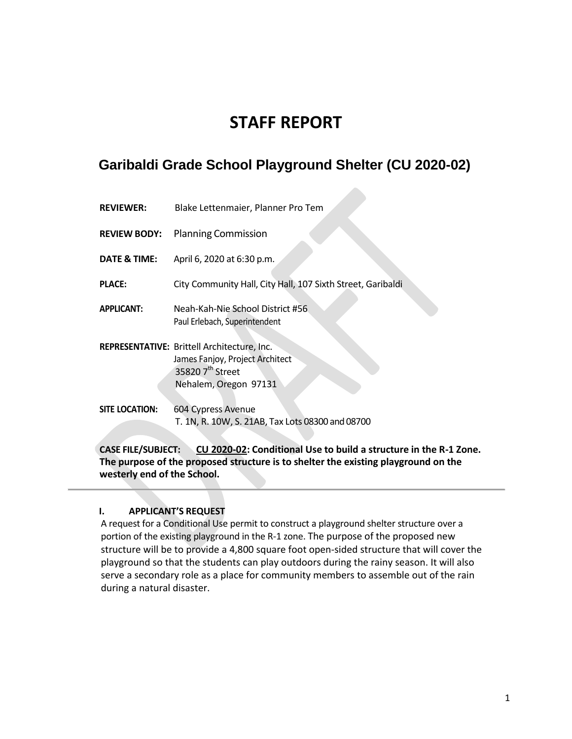# **STAFF REPORT**

## **Garibaldi Grade School Playground Shelter (CU 2020-02)**

| <b>REVIEWER:</b> | Blake Lettenmaier, Planner Pro Tem |  |
|------------------|------------------------------------|--|
|                  |                                    |  |

**REVIEW BODY:** Planning Commission

**DATE & TIME:** April 6, 2020 at 6:30 p.m.

**PLACE:** City Community Hall, City Hall, 107 Sixth Street, Garibaldi

**APPLICANT:** Neah-Kah-Nie School District #56 Paul Erlebach, Superintendent

**REPRESENTATIVE:** Brittell Architecture, Inc. James Fanjoy, Project Architect 35820 7<sup>th</sup> Street Nehalem, Oregon 97131

**SITE LOCATION:** 604 Cypress Avenue T. 1N, R. 10W, S. 21AB, Tax Lots 08300 and 08700

**CASE FILE/SUBJECT: CU 2020-02: Conditional Use to build a structure in the R-1 Zone. The purpose of the proposed structure is to shelter the existing playground on the westerly end of the School.** 

#### **I. APPLICANT'S REQUEST**

A request for a Conditional Use permit to construct a playground shelter structure over a portion of the existing playground in the R-1 zone. The purpose of the proposed new structure will be to provide a 4,800 square foot open-sided structure that will cover the playground so that the students can play outdoors during the rainy season. It will also serve a secondary role as a place for community members to assemble out of the rain during a natural disaster.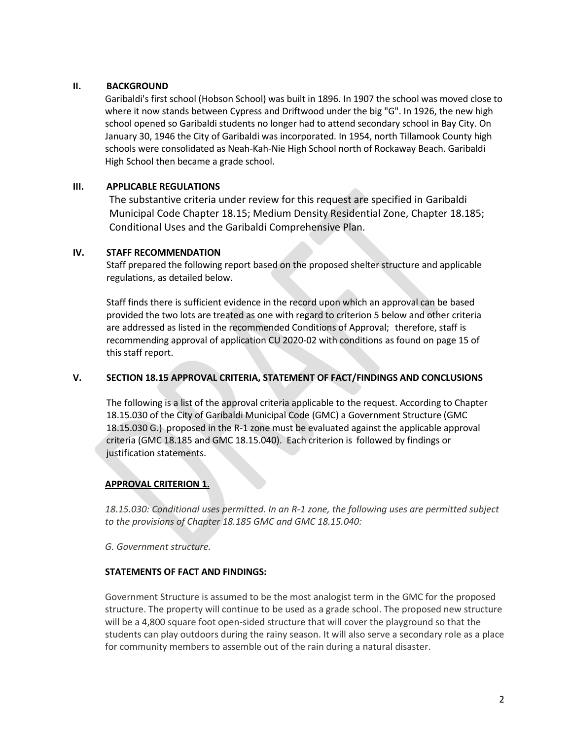#### **II. BACKGROUND**

Garibaldi's first school (Hobson School) was built in 1896. In 1907 the school was moved close to where it now stands between Cypress and Driftwood under the big "G". In 1926, the new high school opened so Garibaldi students no longer had to attend secondary school in Bay City. On January 30, 1946 the City of Garibaldi was incorporated. In 1954, north Tillamook County high schools were consolidated as Neah-Kah-Nie High School north of Rockaway Beach. Garibaldi High School then became a grade school.

## **III. APPLICABLE REGULATIONS**

The substantive criteria under review for this request are specified in Garibaldi Municipal Code Chapter 18.15; Medium Density Residential Zone, Chapter 18.185; Conditional Uses and the Garibaldi Comprehensive Plan.

## **IV. STAFF RECOMMENDATION**

Staff prepared the following report based on the proposed shelter structure and applicable regulations, as detailed below.

Staff finds there is sufficient evidence in the record upon which an approval can be based provided the two lots are treated as one with regard to criterion 5 below and other criteria are addressed as listed in the recommended Conditions of Approval; therefore, staff is recommending approval of application CU 2020-02 with conditions as found on page 15 of this staff report.

## **V. SECTION 18.15 APPROVAL CRITERIA, STATEMENT OF FACT/FINDINGS AND CONCLUSIONS**

The following is a list of the approval criteria applicable to the request. According to Chapter 18.15.030 of the City of Garibaldi Municipal Code (GMC) a Government Structure (GMC 18.15.030 G.) proposed in the R-1 zone must be evaluated against the applicable approval criteria (GMC 18.185 and GMC 18.15.040). Each criterion is followed by findings or justification statements.

## **APPROVAL CRITERION 1.**

*18.15.030: Conditional uses permitted. In an R-1 zone, the following uses are permitted subject to the provisions of Chapter 18.185 GMC and GMC 18.15.040:*

#### *G. Government structure.*

## **STATEMENTS OF FACT AND FINDINGS:**

Government Structure is assumed to be the most analogist term in the GMC for the proposed structure. The property will continue to be used as a grade school. The proposed new structure will be a 4,800 square foot open-sided structure that will cover the playground so that the students can play outdoors during the rainy season. It will also serve a secondary role as a place for community members to assemble out of the rain during a natural disaster.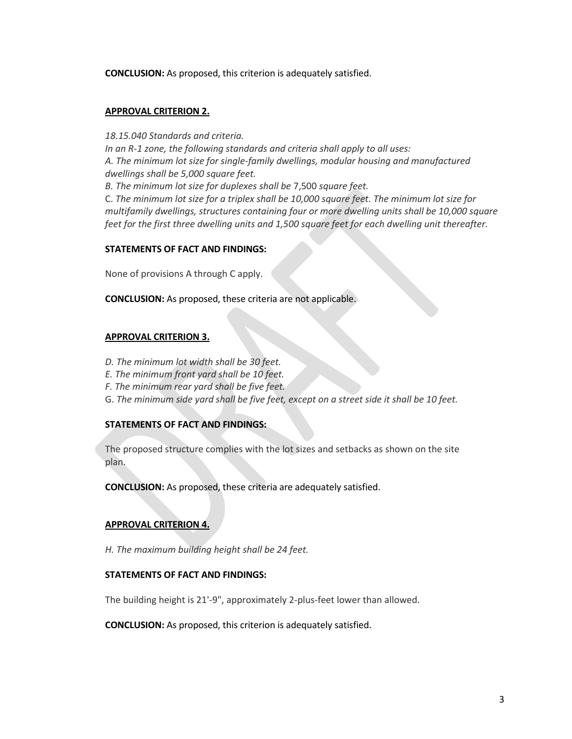**CONCLUSION:** As proposed, this criterion is adequately satisfied.

#### **APPROVAL CRITERION 2.**

*18.15.040 Standards and criteria. In an R-1 zone, the following standards and criteria shall apply to all uses: A. The minimum lot size for single-family dwellings, modular housing and manufactured dwellings shall be 5,000 square feet. B. The minimum lot size for duplexes shall be* 7,500 *square feet.* C. *The minimum lot size for a triplex shall be 10,000 square feet. The minimum lot size for multifamily dwellings, structures containing four or more dwelling units shall be 10,000 square feet for the first three dwelling units and 1,500 square feet for each dwelling unit thereafter.*

#### **STATEMENTS OF FACT AND FINDINGS:**

None of provisions A through C apply.

**CONCLUSION:** As proposed, these criteria are not applicable.

#### **APPROVAL CRITERION 3.**

- *D. The minimum lot width shall be 30 feet.*
- *E. The minimum front yard shall be 10 feet.*
- *F. The minimum rear yard shall be five feet.*
- G. *The minimum side yard shall be five feet, except on a street side it shall be 10 feet.*

#### **STATEMENTS OF FACT AND FINDINGS:**

The proposed structure complies with the lot sizes and setbacks as shown on the site plan.

**CONCLUSION:** As proposed, these criteria are adequately satisfied.

#### **APPROVAL CRITERION 4.**

*H. The maximum building height shall be 24 feet.*

#### **STATEMENTS OF FACT AND FINDINGS:**

The building height is 21'-9", approximately 2-plus-feet lower than allowed.

**CONCLUSION:** As proposed, this criterion is adequately satisfied.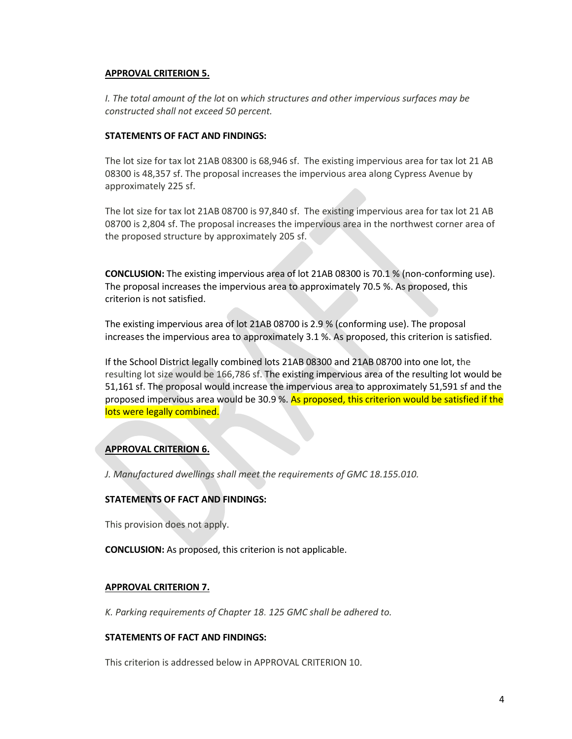#### **APPROVAL CRITERION 5.**

*I. The total amount of the lot* on *which structures and other impervious surfaces may be constructed shall not exceed 50 percent.*

#### **STATEMENTS OF FACT AND FINDINGS:**

The lot size for tax lot 21AB 08300 is 68,946 sf. The existing impervious area for tax lot 21 AB 08300 is 48,357 sf. The proposal increases the impervious area along Cypress Avenue by approximately 225 sf.

The lot size for tax lot 21AB 08700 is 97,840 sf. The existing impervious area for tax lot 21 AB 08700 is 2,804 sf. The proposal increases the impervious area in the northwest corner area of the proposed structure by approximately 205 sf.

**CONCLUSION:** The existing impervious area of lot 21AB 08300 is 70.1 % (non-conforming use). The proposal increases the impervious area to approximately 70.5 %. As proposed, this criterion is not satisfied.

The existing impervious area of lot 21AB 08700 is 2.9 % (conforming use). The proposal increases the impervious area to approximately 3.1 %. As proposed, this criterion is satisfied.

If the School District legally combined lots 21AB 08300 and 21AB 08700 into one lot, the resulting lot size would be 166,786 sf. The existing impervious area of the resulting lot would be 51,161 sf. The proposal would increase the impervious area to approximately 51,591 sf and the proposed impervious area would be 30.9 %. As proposed, this criterion would be satisfied if the lots were legally combined.

#### **APPROVAL CRITERION 6.**

*J. Manufactured dwellings shall meet the requirements of GMC 18.155.010.*

#### **STATEMENTS OF FACT AND FINDINGS:**

This provision does not apply.

**CONCLUSION:** As proposed, this criterion is not applicable.

#### **APPROVAL CRITERION 7.**

*K. Parking requirements of Chapter 18. 125 GMC shall be adhered to.*

## **STATEMENTS OF FACT AND FINDINGS:**

This criterion is addressed below in APPROVAL CRITERION 10.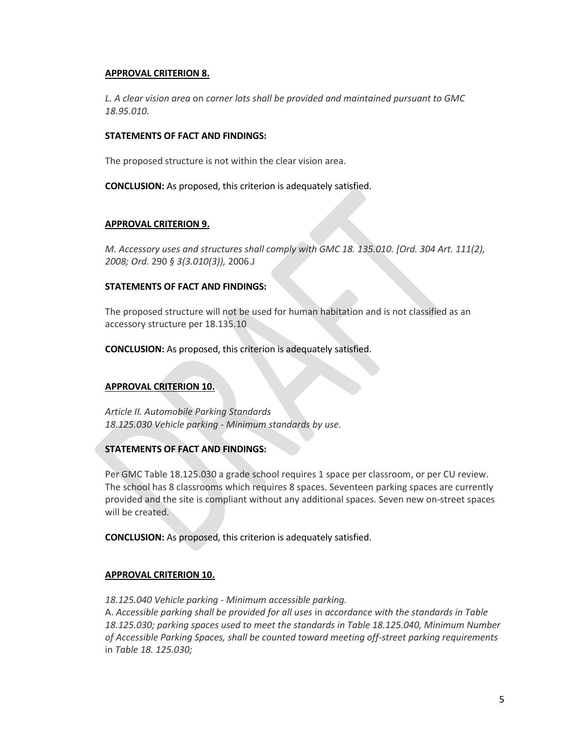#### **APPROVAL CRITERION 8.**

*L. A clear vision area* on *corner lots shall be provided and maintained pursuant to GMC 18.95.010.*

#### **STATEMENTS OF FACT AND FINDINGS:**

The proposed structure is not within the clear vision area.

**CONCLUSION:** As proposed, this criterion is adequately satisfied.

#### **APPROVAL CRITERION 9.**

*M. Accessory uses and structures shall comply with GMC 18. 135.010. [Ord. 304 Art. 111(2), 2008; Ord.* 290 *§ 3(3.010(3)),* 2006.J

#### **STATEMENTS OF FACT AND FINDINGS:**

The proposed structure will not be used for human habitation and is not classified as an accessory structure per 18.135.10

**CONCLUSION:** As proposed, this criterion is adequately satisfied.

#### **APPROVAL CRITERION 10.**

*Article II. Automobile Parking Standards 18.125.030 Vehicle parking* - *Minimum standards by use.*

#### **STATEMENTS OF FACT AND FINDINGS:**

Per GMC Table 18.125.030 a grade school requires 1 space per classroom, or per CU review. The school has 8 classrooms which requires 8 spaces. Seventeen parking spaces are currently provided and the site is compliant without any additional spaces. Seven new on-street spaces will be created.

**CONCLUSION:** As proposed, this criterion is adequately satisfied.

#### **APPROVAL CRITERION 10.**

*18.125.040 Vehicle parking* - *Minimum accessible parking.*

A. *Accessible parking shall be provided for all uses* in *accordance with the standards in Table 18.125.030; parking spaces used to meet the standards in Table 18.125.040, Minimum Number of Accessible Parking Spaces, shall be counted toward meeting off-street parking requirements*  in *Table 18. 125.030;*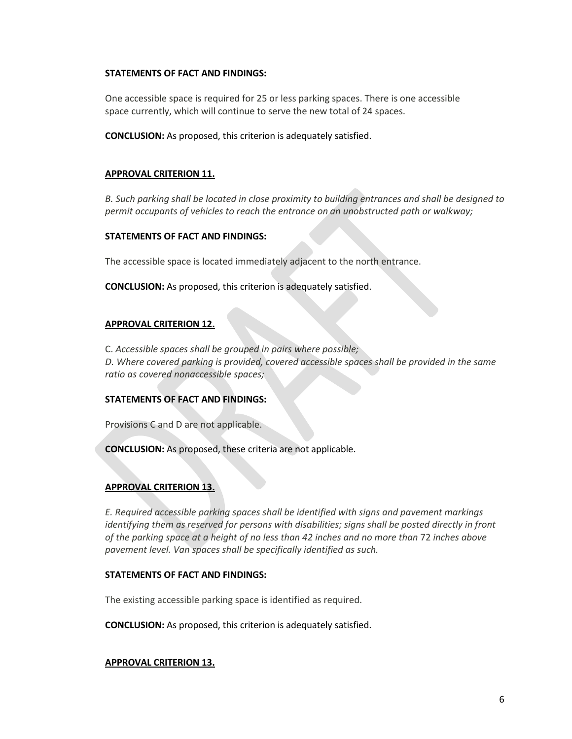#### **STATEMENTS OF FACT AND FINDINGS:**

One accessible space is required for 25 or less parking spaces. There is one accessible space currently, which will continue to serve the new total of 24 spaces.

**CONCLUSION:** As proposed, this criterion is adequately satisfied.

## **APPROVAL CRITERION 11.**

*B. Such parking shall be located in close proximity to building entrances and shall be designed to permit occupants of vehicles to reach the entrance on an unobstructed path or walkway;*

#### **STATEMENTS OF FACT AND FINDINGS:**

The accessible space is located immediately adjacent to the north entrance.

**CONCLUSION:** As proposed, this criterion is adequately satisfied.

#### **APPROVAL CRITERION 12.**

C. *Accessible spaces shall be grouped in pairs where possible; D. Where covered parking is provided, covered accessible spaces shall be provided in the same ratio as covered nonaccessible spaces;*

#### **STATEMENTS OF FACT AND FINDINGS:**

Provisions C and D are not applicable.

**CONCLUSION:** As proposed, these criteria are not applicable.

#### **APPROVAL CRITERION 13.**

*E. Required accessible parking spaces shall be identified with signs and pavement markings identifying them as reserved for persons with disabilities; signs shall be posted directly in front of the parking space at a height of no less than 42 inches and no more than* 72 *inches above pavement level. Van spaces shall be specifically identified as such.*

#### **STATEMENTS OF FACT AND FINDINGS:**

The existing accessible parking space is identified as required.

**CONCLUSION:** As proposed, this criterion is adequately satisfied.

#### **APPROVAL CRITERION 13.**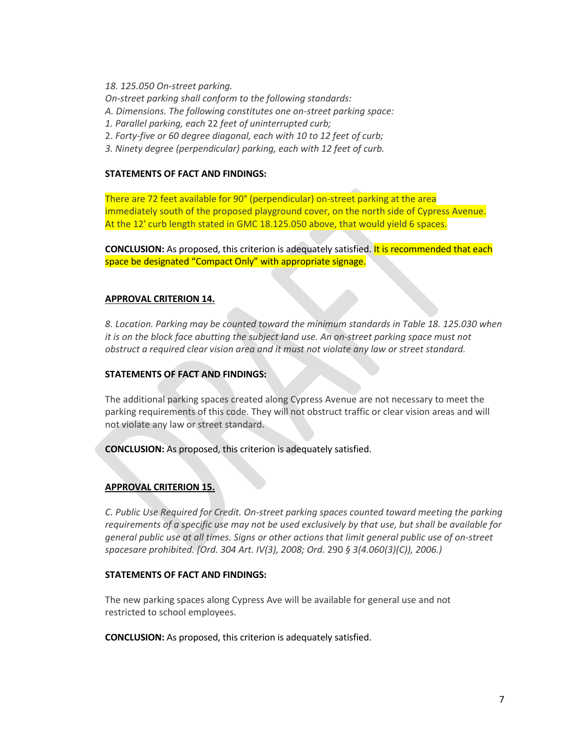*18. 125.050 On-street parking.*

*On-street parking shall conform to the following standards:*

- *A. Dimensions. The following constitutes one on-street parking space:*
- *1. Parallel parking, each* 22 *feet of uninterrupted curb;*
- 2. *Forty-five or 60 degree diagonal, each with 10 to 12 feet of curb;*
- *3. Ninety degree (perpendicular) parking, each with 12 feet of curb.*

#### **STATEMENTS OF FACT AND FINDINGS:**

There are 72 feet available for 90° (perpendicular) on-street parking at the area immediately south of the proposed playground cover, on the north side of Cypress Avenue. At the 12' curb length stated in GMC 18.125.050 above, that would yield 6 spaces.

**CONCLUSION:** As proposed, this criterion is adequately satisfied. It is recommended that each space be designated "Compact Only" with appropriate signage.

#### **APPROVAL CRITERION 14.**

*8. Location. Parking may be counted toward the minimum standards in Table 18. 125.030 when it is on the block face abutting the subject land use. An on-street parking space must not obstruct a required clear vision area and it must not violate any law or street standard.*

#### **STATEMENTS OF FACT AND FINDINGS:**

The additional parking spaces created along Cypress Avenue are not necessary to meet the parking requirements of this code. They will not obstruct traffic or clear vision areas and will not violate any law or street standard.

**CONCLUSION:** As proposed, this criterion is adequately satisfied.

#### **APPROVAL CRITERION 15.**

*C. Public Use Required for Credit. On-street parking spaces counted toward meeting the parking requirements of a specific use may not be used exclusively by that use, but shall be available for general public use at all times. Signs or other actions that limit general public use of on-street spacesare prohibited. [Ord. 304 Art. IV(3), 2008; Ord.* 290 *§ 3(4.060(3)(C)), 2006.)*

#### **STATEMENTS OF FACT AND FINDINGS:**

The new parking spaces along Cypress Ave will be available for general use and not restricted to school employees.

**CONCLUSION:** As proposed, this criterion is adequately satisfied.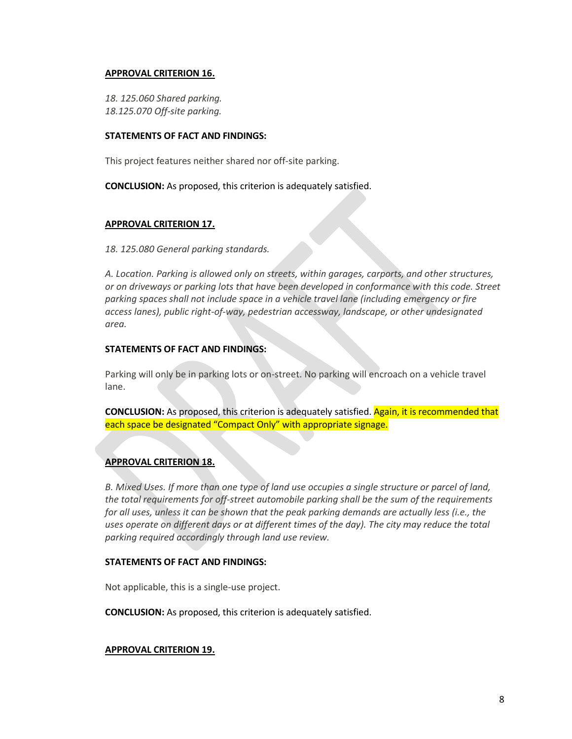#### **APPROVAL CRITERION 16.**

*18. 125.060 Shared parking. 18.125.070 Off-site parking.*

#### **STATEMENTS OF FACT AND FINDINGS:**

This project features neither shared nor off-site parking.

**CONCLUSION:** As proposed, this criterion is adequately satisfied.

#### **APPROVAL CRITERION 17.**

#### *18. 125.080 General parking standards.*

*A. Location. Parking is allowed only on streets, within garages, carports, and other structures, or on driveways or parking lots that have been developed in conformance with this code. Street parking spaces shall not include space in a vehicle travel lane (including emergency or fire access lanes), public right-of-way, pedestrian accessway, landscape, or other undesignated area.*

#### **STATEMENTS OF FACT AND FINDINGS:**

Parking will only be in parking lots or on-street. No parking will encroach on a vehicle travel lane.

**CONCLUSION:** As proposed, this criterion is adequately satisfied. Again, it is recommended that each space be designated "Compact Only" with appropriate signage.

#### **APPROVAL CRITERION 18.**

*B. Mixed Uses. If more than one type of land use occupies a single structure or parcel of land, the total requirements for off-street automobile parking shall be the sum of the requirements for all uses, unless it can be shown that the peak parking demands are actually less (i.e., the uses operate on different days or at different times of the day). The city may reduce the total parking required accordingly through land use review.*

#### **STATEMENTS OF FACT AND FINDINGS:**

Not applicable, this is a single-use project.

**CONCLUSION:** As proposed, this criterion is adequately satisfied.

#### **APPROVAL CRITERION 19.**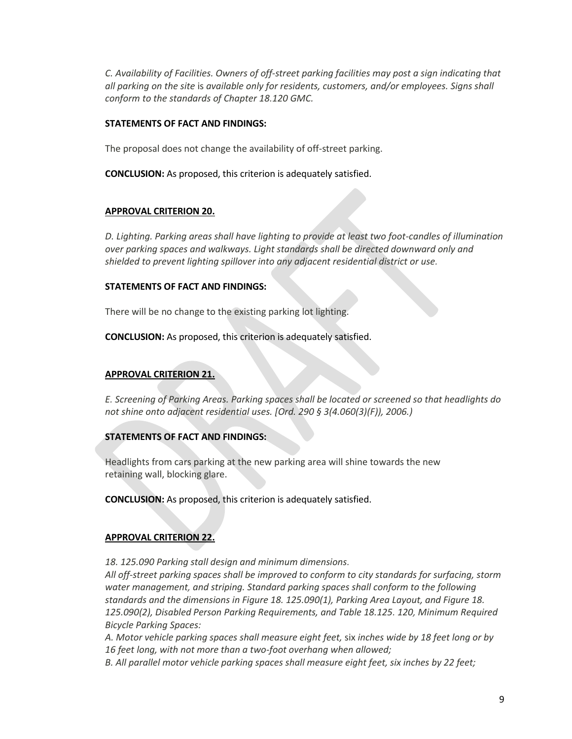*C. Availability of Facilities. Owners of off-street parking facilities may post a sign indicating that all parking on the site* is *available only for residents, customers, and/or employees. Signs shall conform to the standards of Chapter 18.120 GMC.*

#### **STATEMENTS OF FACT AND FINDINGS:**

The proposal does not change the availability of off-street parking.

**CONCLUSION:** As proposed, this criterion is adequately satisfied.

## **APPROVAL CRITERION 20.**

*D. Lighting. Parking areas shall have lighting to provide at least two foot-candles of illumination over parking spaces and walkways. Light standards shall be directed downward only and shielded to prevent lighting spillover into any adjacent residential district or use.*

## **STATEMENTS OF FACT AND FINDINGS:**

There will be no change to the existing parking lot lighting.

**CONCLUSION:** As proposed, this criterion is adequately satisfied.

## **APPROVAL CRITERION 21.**

*E. Screening of Parking Areas. Parking spaces shall be located or screened so that headlights do not shine onto adjacent residential uses. [Ord. 290 § 3(4.060(3)(F)), 2006.)*

## **STATEMENTS OF FACT AND FINDINGS:**

Headlights from cars parking at the new parking area will shine towards the new retaining wall, blocking glare.

**CONCLUSION:** As proposed, this criterion is adequately satisfied.

## **APPROVAL CRITERION 22.**

*18. 125.090 Parking stall design and minimum dimensions.*

*All off-street parking spaces shall be improved to conform to city standards for surfacing, storm water management, and striping. Standard parking spaces shall conform to the following standards and the dimensions in Figure 18. 125.090(1), Parking Area Layout, and Figure 18. 125.090(2), Disabled Person Parking Requirements, and Table 18.125. 120, Minimum Required Bicycle Parking Spaces:*

*A. Motor vehicle parking spaces shall measure eight feet,* six *inches wide by 18 feet long or by 16 feet long, with not more than a two-foot overhang when allowed;*

*B. All parallel motor vehicle parking spaces shall measure eight feet, six inches by 22 feet;*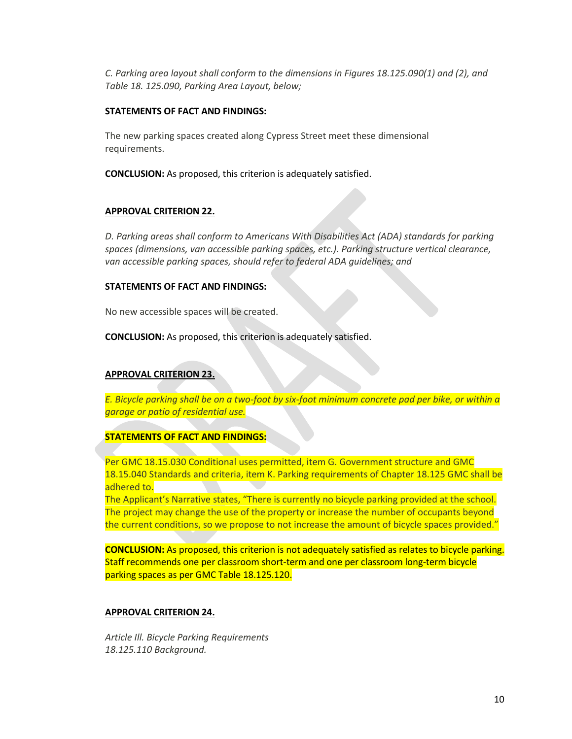*C. Parking area layout shall conform to the dimensions in Figures 18.125.090(1) and (2), and Table 18. 125.090, Parking Area Layout, below;*

#### **STATEMENTS OF FACT AND FINDINGS:**

The new parking spaces created along Cypress Street meet these dimensional requirements.

**CONCLUSION:** As proposed, this criterion is adequately satisfied.

## **APPROVAL CRITERION 22.**

*D. Parking areas shall conform to Americans With Disabilities Act (ADA) standards for parking spaces (dimensions, van accessible parking spaces, etc.). Parking structure vertical clearance, van accessible parking spaces, should refer to federal ADA guidelines; and*

## **STATEMENTS OF FACT AND FINDINGS:**

No new accessible spaces will be created.

**CONCLUSION:** As proposed, this criterion is adequately satisfied.

## **APPROVAL CRITERION 23.**

*E. Bicycle parking shall be on a two-foot by six-foot minimum concrete pad per bike, or within a garage or patio of residential use.*

## **STATEMENTS OF FACT AND FINDINGS:**

Per GMC 18.15.030 Conditional uses permitted, item G. Government structure and GMC 18.15.040 Standards and criteria, item K. Parking requirements of Chapter 18.125 GMC shall be adhered to.

The Applicant's Narrative states, "There is currently no bicycle parking provided at the school. The project may change the use of the property or increase the number of occupants beyond the current conditions, so we propose to not increase the amount of bicycle spaces provided."

**CONCLUSION:** As proposed, this criterion is not adequately satisfied as relates to bicycle parking. Staff recommends one per classroom short-term and one per classroom long-term bicycle parking spaces as per GMC Table 18.125.120.

## **APPROVAL CRITERION 24.**

*Article Ill. Bicycle Parking Requirements 18.125.110 Background.*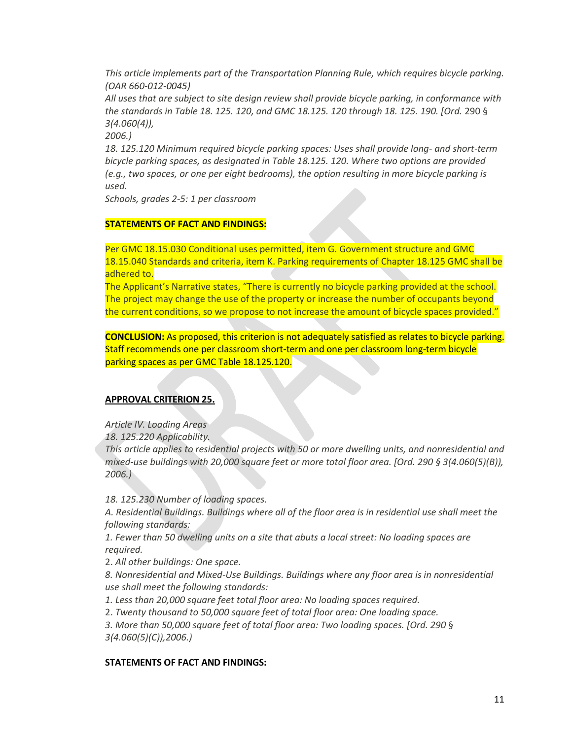*This article implements part of the Transportation Planning Rule, which requires bicycle parking. (OAR 660-012-0045)*

*All uses that are subject to site design review shall provide bicycle parking, in conformance with the standards in Table 18. 125. 120, and GMC 18.125. 120 through 18. 125. 190. [Ord.* 290 § *3(4.060(4)),*

*2006.)*

*18. 125.120 Minimum required bicycle parking spaces: Uses shall provide long- and short-term bicycle parking spaces, as designated in Table 18.125. 120. Where two options are provided (e.g., two spaces, or one per eight bedrooms), the option resulting in more bicycle parking is used.*

*Schools, grades 2-5: 1 per classroom*

#### **STATEMENTS OF FACT AND FINDINGS:**

Per GMC 18.15.030 Conditional uses permitted, item G. Government structure and GMC 18.15.040 Standards and criteria, item K. Parking requirements of Chapter 18.125 GMC shall be adhered to.

The Applicant's Narrative states, "There is currently no bicycle parking provided at the school. The project may change the use of the property or increase the number of occupants beyond the current conditions, so we propose to not increase the amount of bicycle spaces provided."

**CONCLUSION:** As proposed, this criterion is not adequately satisfied as relates to bicycle parking. Staff recommends one per classroom short-term and one per classroom long-term bicycle parking spaces as per GMC Table 18.125.120.

## **APPROVAL CRITERION 25.**

*Article IV. Loading Areas*

*18. 125.220 Applicability.*

*This article applies to residential projects with 50 or more dwelling units, and nonresidential and mixed-use buildings with 20,000 square feet or more total floor area. [Ord. 290 § 3(4.060(5)(B)), 2006.)*

*18. 125.230 Number of loading spaces.*

*A. Residential Buildings. Buildings where all of the floor area is in residential use shall meet the following standards:*

*1. Fewer than 50 dwelling units on a site that abuts a local street: No loading spaces are required.*

2. *All other buildings: One space.*

*8. Nonresidential and Mixed-Use Buildings. Buildings where any floor area is in nonresidential use shall meet the following standards:*

*1. Less than 20,000 square feet total floor area: No loading spaces required.*

2. *Twenty thousand to 50,000 square feet of total floor area: One loading space.*

*3. More than 50,000 square feet of total floor area: Two loading spaces. [Ord. 290* § *3(4.060(5)(C)),2006.)*

#### **STATEMENTS OF FACT AND FINDINGS:**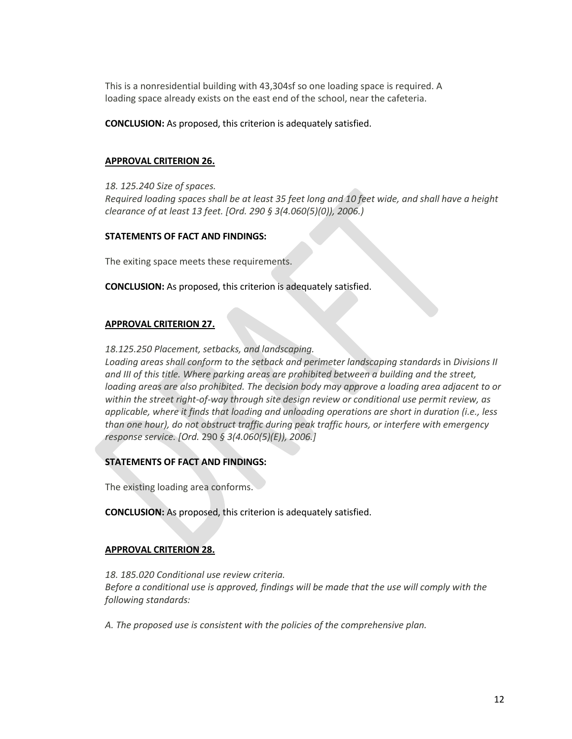This is a nonresidential building with 43,304sf so one loading space is required. A loading space already exists on the east end of the school, near the cafeteria.

**CONCLUSION:** As proposed, this criterion is adequately satisfied.

#### **APPROVAL CRITERION 26.**

*18. 125.240 Size of spaces.*

*Required loading spaces shall be at least 35 feet long and 10 feet wide, and shall have a height clearance of at least 13 feet. [Ord. 290 § 3(4.060(5)(0)), 2006.)*

#### **STATEMENTS OF FACT AND FINDINGS:**

The exiting space meets these requirements.

**CONCLUSION:** As proposed, this criterion is adequately satisfied.

#### **APPROVAL CRITERION 27.**

*18.125.250 Placement, setbacks, and landscaping.*

*Loading areas shall conform to the setback and perimeter landscaping standards* in *Divisions II and III of this title. Where parking areas are prohibited between a building and the street, loading areas are also prohibited. The decision body may approve a loading area adjacent to or within the street right-of-way through site design review or conditional use permit review, as applicable, where it finds that loading and unloading operations are short in duration (i.e., less than one hour), do not obstruct traffic during peak traffic hours, or interfere with emergency response service. [Ord.* 290 *§ 3(4.060(5)(E)), 2006.]*

#### **STATEMENTS OF FACT AND FINDINGS:**

The existing loading area conforms.

**CONCLUSION:** As proposed, this criterion is adequately satisfied.

#### **APPROVAL CRITERION 28.**

*18. 185.020 Conditional use review criteria. Before a conditional use is approved, findings will be made that the use will comply with the following standards:*

*A. The proposed use is consistent with the policies of the comprehensive plan.*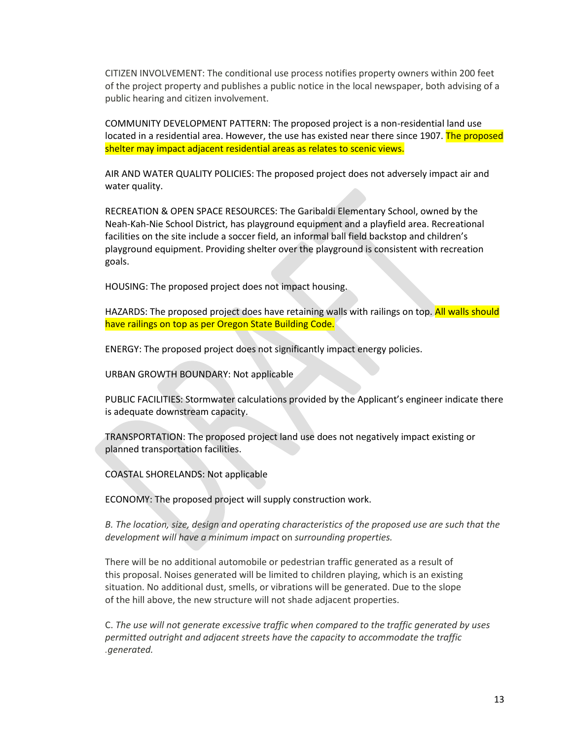CITIZEN INVOLVEMENT: The conditional use process notifies property owners within 200 feet of the project property and publishes a public notice in the local newspaper, both advising of a public hearing and citizen involvement.

COMMUNITY DEVELOPMENT PATTERN: The proposed project is a non-residential land use located in a residential area. However, the use has existed near there since 1907. The proposed shelter may impact adjacent residential areas as relates to scenic views.

AIR AND WATER QUALITY POLICIES: The proposed project does not adversely impact air and water quality.

RECREATION & OPEN SPACE RESOURCES: The Garibaldi Elementary School, owned by the Neah-Kah-Nie School District, has playground equipment and a playfield area. Recreational facilities on the site include a soccer field, an informal ball field backstop and children's playground equipment. Providing shelter over the playground is consistent with recreation goals.

HOUSING: The proposed project does not impact housing.

HAZARDS: The proposed project does have retaining walls with railings on top. All walls should have railings on top as per Oregon State Building Code.

ENERGY: The proposed project does not significantly impact energy policies.

URBAN GROWTH BOUNDARY: Not applicable

PUBLIC FACILITIES: Stormwater calculations provided by the Applicant's engineer indicate there is adequate downstream capacity.

TRANSPORTATION: The proposed project land use does not negatively impact existing or planned transportation facilities.

COASTAL SHORELANDS: Not applicable

ECONOMY: The proposed project will supply construction work.

*B. The location, size, design and operating characteristics of the proposed use are such that the development will have a minimum impact* on *surrounding properties.*

There will be no additional automobile or pedestrian traffic generated as a result of this proposal. Noises generated will be limited to children playing, which is an existing situation. No additional dust, smells, or vibrations will be generated. Due to the slope of the hill above, the new structure will not shade adjacent properties.

C. *The use will not generate excessive traffic when compared to the traffic generated by uses permitted outright and adjacent streets have the capacity to accommodate the traffic .generated.*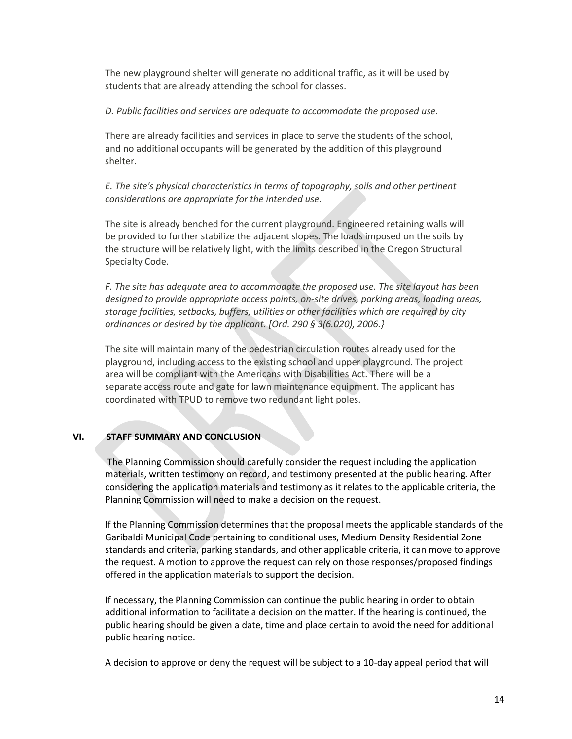The new playground shelter will generate no additional traffic, as it will be used by students that are already attending the school for classes.

#### *D. Public facilities and services are adequate to accommodate the proposed use.*

There are already facilities and services in place to serve the students of the school, and no additional occupants will be generated by the addition of this playground shelter.

*E. The site's physical characteristics in terms of topography, soils and other pertinent considerations are appropriate for the intended use.*

The site is already benched for the current playground. Engineered retaining walls will be provided to further stabilize the adjacent slopes. The loads imposed on the soils by the structure will be relatively light, with the limits described in the Oregon Structural Specialty Code.

*F. The site has adequate area to accommodate the proposed use. The site layout has been designed to provide appropriate access points, on-site drives, parking areas, loading areas, storage facilities, setbacks, buffers, utilities or other facilities which are required by city ordinances or desired by the applicant. [Ord. 290 § 3(6.020), 2006.}*

The site will maintain many of the pedestrian circulation routes already used for the playground, including access to the existing school and upper playground. The project area will be compliant with the Americans with Disabilities Act. There will be a separate access route and gate for lawn maintenance equipment. The applicant has coordinated with TPUD to remove two redundant light poles.

#### **VI. STAFF SUMMARY AND CONCLUSION**

The Planning Commission should carefully consider the request including the application materials, written testimony on record, and testimony presented at the public hearing. After considering the application materials and testimony as it relates to the applicable criteria, the Planning Commission will need to make a decision on the request.

If the Planning Commission determines that the proposal meets the applicable standards of the Garibaldi Municipal Code pertaining to conditional uses, Medium Density Residential Zone standards and criteria, parking standards, and other applicable criteria, it can move to approve the request. A motion to approve the request can rely on those responses/proposed findings offered in the application materials to support the decision.

If necessary, the Planning Commission can continue the public hearing in order to obtain additional information to facilitate a decision on the matter. If the hearing is continued, the public hearing should be given a date, time and place certain to avoid the need for additional public hearing notice.

A decision to approve or deny the request will be subject to a 10-day appeal period that will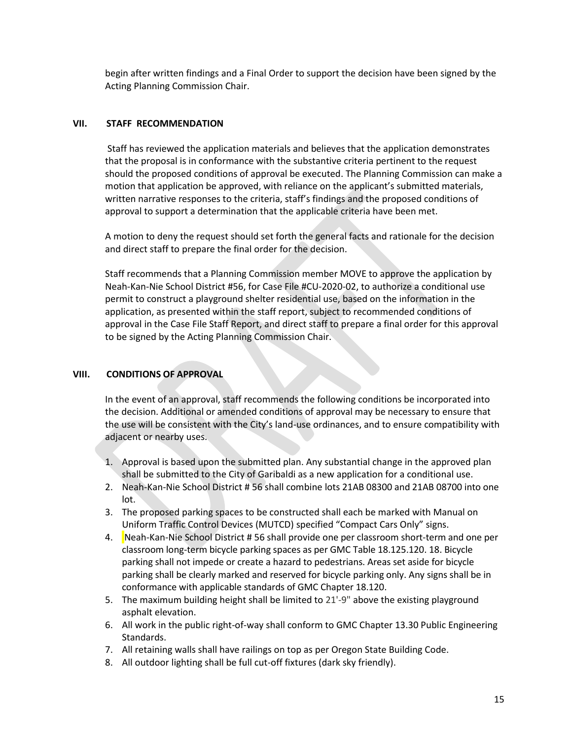begin after written findings and a Final Order to support the decision have been signed by the Acting Planning Commission Chair.

#### **VII. STAFF RECOMMENDATION**

Staff has reviewed the application materials and believes that the application demonstrates that the proposal is in conformance with the substantive criteria pertinent to the request should the proposed conditions of approval be executed. The Planning Commission can make a motion that application be approved, with reliance on the applicant's submitted materials, written narrative responses to the criteria, staff's findings and the proposed conditions of approval to support a determination that the applicable criteria have been met.

A motion to deny the request should set forth the general facts and rationale for the decision and direct staff to prepare the final order for the decision.

Staff recommends that a Planning Commission member MOVE to approve the application by Neah-Kan-Nie School District #56, for Case File #CU-2020-02, to authorize a conditional use permit to construct a playground shelter residential use, based on the information in the application, as presented within the staff report, subject to recommended conditions of approval in the Case File Staff Report, and direct staff to prepare a final order for this approval to be signed by the Acting Planning Commission Chair.

## **VIII. CONDITIONS OF APPROVAL**

In the event of an approval, staff recommends the following conditions be incorporated into the decision. Additional or amended conditions of approval may be necessary to ensure that the use will be consistent with the City's land-use ordinances, and to ensure compatibility with adjacent or nearby uses.

- 1. Approval is based upon the submitted plan. Any substantial change in the approved plan shall be submitted to the City of Garibaldi as a new application for a conditional use.
- 2. Neah-Kan-Nie School District # 56 shall combine lots 21AB 08300 and 21AB 08700 into one lot.
- 3. The proposed parking spaces to be constructed shall each be marked with Manual on Uniform Traffic Control Devices (MUTCD) specified "Compact Cars Only" signs.
- 4. Neah-Kan-Nie School District # 56 shall provide one per classroom short-term and one per classroom long-term bicycle parking spaces as per GMC Table 18.125.120. 18. Bicycle parking shall not impede or create a hazard to pedestrians. Areas set aside for bicycle parking shall be clearly marked and reserved for bicycle parking only. Any signs shall be in conformance with applicable standards of GMC Chapter 18.120.
- 5. The maximum building height shall be limited to 21'-9" above the existing playground asphalt elevation.
- 6. All work in the public right-of-way shall conform to GMC Chapter 13.30 Public Engineering Standards.
- 7. All retaining walls shall have railings on top as per Oregon State Building Code.
- 8. All outdoor lighting shall be full cut-off fixtures (dark sky friendly).